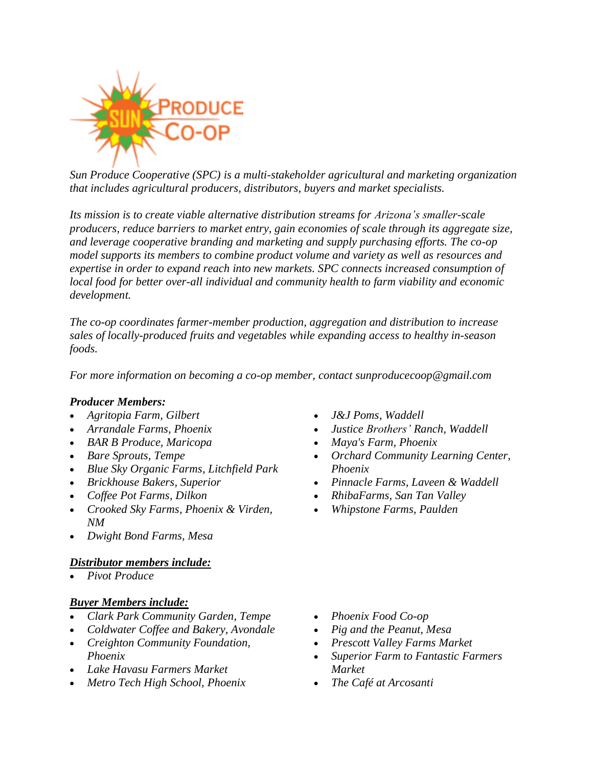

*Sun Produce Cooperative (SPC) is a multi-stakeholder agricultural and marketing organization that includes agricultural producers, distributors, buyers and market specialists.*

*Its mission is to create viable alternative distribution streams for Arizona's smaller-scale producers, reduce barriers to market entry, gain economies of scale through its aggregate size, and leverage cooperative branding and marketing and supply purchasing efforts. The co-op model supports its members to combine product volume and variety as well as resources and expertise in order to expand reach into new markets. SPC connects increased consumption of local food for better over-all individual and community health to farm viability and economic development.*

*The co-op coordinates farmer-member production, aggregation and distribution to increase sales of locally-produced fruits and vegetables while expanding access to healthy in-season foods.*

*For more information on becoming a co-op member, contact [sunproducecoop@gmail.com](mailto:sunproducecoop@gmail.com)*

# *Producer Members:*

- *[Agritopia](https://agritopiafarm.com/) Farm, Gilbert*
- *[Arrandale](https://www.arrandalefarms.com/) Farms, Phoenix*
- *BAR B Produce, Maricopa*
- *Bare [Sprouts,](https://baresprouts.com/) Tempe*
- *Blue Sky [Organic](https://blueskyorganicfarms.com/) Farms, Litchfield Park*
- *[Brickhouse](https://www.facebook.com/brickhousebakerssuperior/) Bakers, Superior*
- *Coffee Pot [Farms,](https://www.facebook.com/coffeepotfarms/) Dilkon*
- *[Crooked](https://www.crookedskyfarms.com/) Sky Farms, Phoenix & Virden, NM*
- *Dwight Bond Farms, Mesa*

# *Distributor members include:*

• *Pivot [Produce](http://www.pivotproduce.com/)*

# *Buyer Members include:*

- *[Clark Park Community Garden,](http://www.clarkparkgarden.org/) Tempe*
- *[Coldwater Coffee and Bakery, Avondale](https://www.coldwater.coop/)*
- *Creighton Community Foundation, Phoenix*
- *Lake Havasu Farmers Market*
- *Metro Tech High [School,](https://www.phoenixunion.org/metrotech) Phoenix*
- *J&J [Poms,](https://www.facebook.com/jandjpomsaz/) Waddell*
- *Justice Brothers' Ranch, Waddell*
- *[Maya's](http://mayasfarm.com/) Farm, Phoenix*
- *Orchard [Community](https://www.orchardlearningcenter.org/) Learning Center, Phoenix*
- *[Pinnacle](http://www.phoenixpinnaclefarms.com/) Farms, Laveen & Waddell*
- *[RhibaFarms,](https://www.rhibafarms.com/) San Tan Valley*
- *Whipstone Farms, Paulden*

- *[Phoenix](https://phxfood.coop/) Food Co-op*
- *Pig and the [Peanut,](https://www.pigandthepeanut.com/) Mesa*
- *[Prescott](https://www.facebook.com/PVFMLLC/) Valley Farms Market*
- *Superior Farm to Fantastic Farmers Market*
- *[The Café at Arcosanti](https://www.arcosanti.org/cafe/)*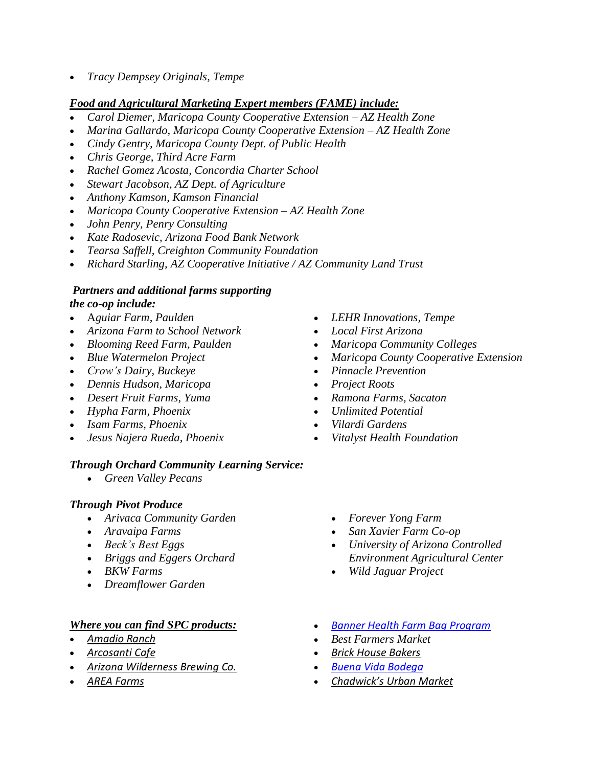• *Tracy Dempsey Originals, Tempe*

# *Food and Agricultural Marketing Expert members (FAME) include:*

- *Carol Diemer, Maricopa County Cooperative Extension – AZ Health Zone*
- *Marina Gallardo, Maricopa County Cooperative Extension – AZ Health Zone*
- *Cindy Gentry, Maricopa County Dept. of Public Health*
- *Chris George, Third Acre Farm*
- *Rachel Gomez Acosta, Concordia Charter School*
- *Stewart Jacobson, AZ Dept. of Agriculture*
- *Anthony Kamson, Kamson Financial*
- *Maricopa County Cooperative Extension – AZ Health Zone*
- *John Penry, Penry Consulting*
- *Kate Radosevic, Arizona Food Bank Network*
- *Tearsa Saffell, Creighton Community Foundation*
- *Richard Starling, AZ Cooperative Initiative / AZ Community Land Trust*

### *Partners and additional farms supporting the co-op include:*

- A*[guiar Farm,](https://m.facebook.com/story.php?story_fbid=10156799994182039&substory_index=0&id=179696157038) Paulden*
- *Arizona Farm to School [Network](https://www.azed.gov/hns/azf2s/)*
- *[Blooming](https://www.prescottfarmersmarket.org/meet-the-farmers/blooming-reed-farm/) Reed Farm, Paulden*
- *Blue [Watermelon](http://www.slowfoodphoenix.org/schoolwork/) Project*
- *[Crow's](http://www.crowsdairy.com/) Dairy, Buckeye*
- *Dennis Hudson, Maricopa*
- *Desert Fruit Farms, Yuma*
- *[Hypha Farm,](https://www.hyphafoods.com/) Phoenix*
- *Isam Farms, Phoenix*
- *Jesus Najera Rueda, Phoenix*

# *Through Orchard Community Learning Service:*

• *[Green Valley Pecans](https://www.greenvalleypecan.com/)*

# *Through Pivot Produce*

- *[Arivaca Community Garden](https://www.facebook.com/Arivaca-Community-Garden-226990994070256/)*
- *[Aravaipa Farms](https://www.aravaipafarms.com/)*
- *[Beck's Best Eggs](https://pivotproduce.localfoodmarketplace.com/Producer/61ec8403-b5e6-4b77-8e40-368f41c204e0)*
- *[Briggs and Eggers Orchard](https://briggs-eggers.com/)*
- *[BKW Farms](https://www.bkwazgrown.com/)*
- *[Dreamflower Garden](https://www.dreamflowergarden.com/)*

# *Where you can find SPC products:*

- *[Amadio Ranch](https://amadioranch.com/)*
- *[Arcosanti Cafe](https://www.arcosanti.org/cafe/)*
- *[Arizona Wilderness Brewing Co.](https://azwbeer.com/)*
- *[AREA Farms](https://areafarmsarizona.com/)*
- *[LEHR Innovations,](https://www.facebook.com/lehrurbanhomestead/) Tempe*
- *Local First [Arizona](https://www.localfirstaz.com/)*
- *Maricopa [Community](https://my.maricopa.edu/get-involved/sustainability) Colleges*
- *Maricopa County Cooperative Extension*
- *Pinnacle [Prevention](http://www.pinnacleprevention.org/)*
- *[Project](https://www.projectrootsaz.org/) Roots*
- *Ramona Farms, Sacaton*
- *[Unlimited Potential](https://www.unlimitedpotentialaz.org/)*
- *[Vilardi Gardens](http://www.vilardigardens.com/)*
- *Vitalyst Health [Foundation](https://vitalysthealth.org/)*
	- *[Forever Yong Farm](https://www.foreveryongfarms.com/)*
	- *[San Xavier Farm Co-op](https://www.sanxaviercoop.org/)*
	- *[University of Arizona Controlled](https://ceac.arizona.edu/)  [Environment Agricultural Center](https://ceac.arizona.edu/)*
	- *[Wild Jaguar Project](https://www.northernjaguarproject.org/)*
- *[Banner Health Farm Bag Program](https://sunproducecoop.csaware.com/farm-fresh-at-bumcp-C22241)*
- *Best [Farmers](https://www.facebook.com/bestfarmersmarketphoenix) Market*
- *Brick House [Bakers](https://www.facebook.com/brickhousebakerssuperior/)*
- *Buena Vida [Bodega](https://buenavidabodega.com/)*
- *[Chadwick's Urban Market](https://www.chadwicksurbanmarket.com/)*